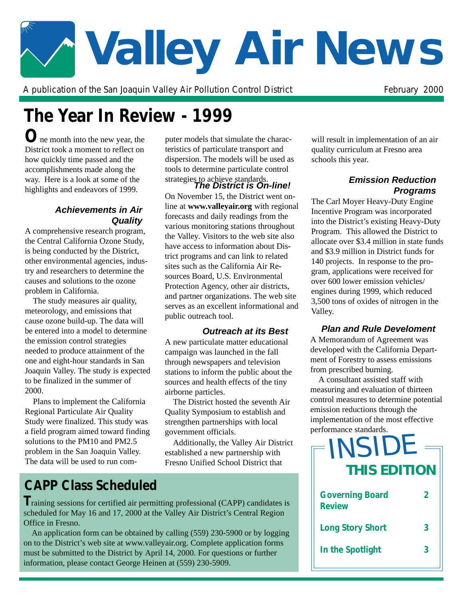# **Valley Air News**

A publication of the San Joaquin Valley Air Pollution Control District February 2000

## **The Year In Review - 1999**

**O**ne month into the new year, the District took a moment to reflect on how quickly time passed and the accomplishments made along the way. Here is a look at some of the highlights and endeavors of 1999.

#### **Achievements in Air Quality**

A comprehensive research program, the Central California Ozone Study, is being conducted by the District, other environmental agencies, industry and researchers to determine the causes and solutions to the ozone problem in California.

The study measures air quality, meteorology, and emissions that cause ozone build-up. The data will be entered into a model to determine the emission control strategies needed to produce attainment of the one and eight-hour standards in San Joaquin Valley. The study is expected to be finalized in the summer of 2000.

Plans to implement the California Regional Particulate Air Quality Study were finalized. This study was a field program aimed toward finding solutions to the PM10 and PM2.5 problem in the San Joaquin Valley. The data will be used to run computer models that simulate the characteristics of particulate transport and dispersion. The models will be used as tools to determine particulate control

On November 15, the District went online at **www.valleyair.org** with regional forecasts and daily readings from the various monitoring stations throughout the Valley. Visitors to the web site also have access to information about District programs and can link to related sites such as the California Air Resources Board, U.S. Environmental Protection Agency, other air districts, and partner organizations. The web site serves as an excellent informational and public outreach tool.

#### **Outreach at its Best**

A new particulate matter educational campaign was launched in the fall through newspapers and television stations to inform the public about the sources and health effects of the tiny airborne particles.

The District hosted the seventh Air Quality Symposium to establish and strengthen partnerships with local government officials.

Additionally, the Valley Air District established a new partnership with Fresno Unified School District that

## **CAPP Class Scheduled**

**T**raining sessions for certified air permitting professional (CAPP) candidates is scheduled for May 16 and 17, 2000 at the Valley Air District's Central Region Office in Fresno.

An application form can be obtained by calling (559) 230-5900 or by logging on to the District's web site at www.valleyair.org. Complete application forms must be submitted to the District by April 14, 2000. For questions or further information, please contact George Heinen at (559) 230-5909.

will result in implementation of an air quality curriculum at Fresno area schools this year.

#### **The District is On-line!** strategies to achieve standards. **Emission Reduction Programs**

The Carl Moyer Heavy-Duty Engine Incentive Program was incorporated into the District's existing Heavy-Duty Program. This allowed the District to allocate over \$3.4 million in state funds and \$3.9 million in District funds for 140 projects. In response to the program, applications were received for over 600 lower emission vehicles/ engines during 1999, which reduced 3,500 tons of oxides of nitrogen in the Valley.

#### **Plan and Rule Develoment**

A Memorandum of Agreement was developed with the California Department of Forestry to assess emissions from prescribed burning.

A consultant assisted staff with measuring and evaluation of thirteen control measures to determine potential emission reductions through the implementation of the most effective performance standards.

| INSIDE<br><b>THIS EDITION</b>           |                |
|-----------------------------------------|----------------|
| <b>Governing Board</b><br><b>Review</b> | $\mathfrak{p}$ |
| <b>Long Story Short</b>                 | 3              |
| In the Spotlight                        | 3              |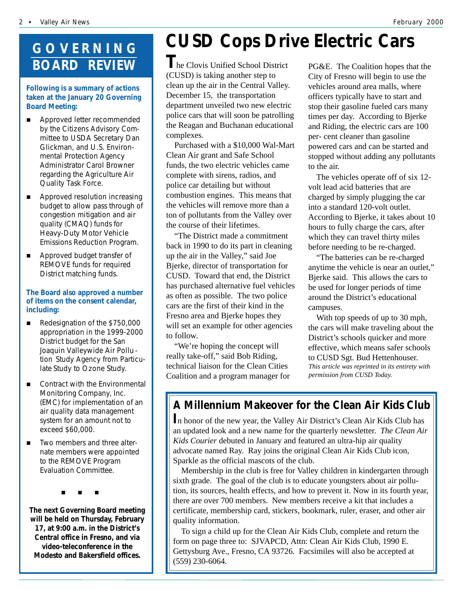## **GOVERNING BOARD REVIEW**

#### **Following is a summary of actions taken at the January 20 Governing Board Meeting:**

- Approved letter recommended by the Citizens Advisory Committee to USDA Secretary Dan Glickman, and U.S. Environmental Protection Agency Administrator Carol Browner regarding the Agriculture Air Quality Task Force.
- **E** Approved resolution increasing budget to allow pass through of congestion mitigation and air quality (CMAQ) funds for Heavy-Duty Motor Vehicle Emissions Reduction Program.
- **EXECUTE:** Approved budget transfer of REMOVE funds for required District matching funds.

#### **The Board also approved a number of items on the consent calendar, including:**

- Redesignation of the \$750,000 appropriation in the 1999-2000 District budget for the San Joaquin Valleywide Air Pollu tion Study Agency from Particulate Study to Ozone Study.
- $\blacksquare$  Contract with the Environmental Monitoring Company, Inc. (EMC) for implementation of an air quality data management system for an amount not to exceed \$60,000.
- Two members and three alternate members were appointed to the REMOVE Program Evaluation Committee.

"#""#""#

**The next Governing Board meeting will be held on Thursday, February 17, at 9:00 a.m. in the District's Central office in Fresno, and via video-teleconference in the Modesto and Bakersfield offices.**

# **CUSD Cops Drive Electric Cars**

(CUSD) is taking another step to **T**he Clovis Unified School District clean up the air in the Central Valley. December 15, the transportation department unveiled two new electric police cars that will soon be patrolling the Reagan and Buchanan educational complexes.

Purchased with a \$10,000 Wal-Mart Clean Air grant and Safe School funds, the two electric vehicles came complete with sirens, radios, and police car detailing but without combustion engines. This means that the vehicles will remove more than a ton of pollutants from the Valley over the course of their lifetimes.

"The District made a commitment back in 1990 to do its part in cleaning up the air in the Valley," said Joe Bjerke, director of transportation for CUSD. Toward that end, the District has purchased alternative fuel vehicles as often as possible. The two police cars are the first of their kind in the Fresno area and Bjerke hopes they will set an example for other agencies to follow.

"We're hoping the concept will really take-off," said Bob Riding, technical liaison for the Clean Cities Coalition and a program manager for

PG&E. The Coalition hopes that the City of Fresno will begin to use the vehicles around area malls, where officers typically have to start and stop their gasoline fueled cars many times per day. According to Bjerke and Riding, the electric cars are 100 per- cent cleaner than gasoline powered cars and can be started and stopped without adding any pollutants to the air.

The vehicles operate off of six 12 volt lead acid batteries that are charged by simply plugging the car into a standard 120-volt outlet. According to Bjerke, it takes about 10 hours to fully charge the cars, after which they can travel thirty miles before needing to be re-charged.

"The batteries can be re-charged anytime the vehicle is near an outlet," Bjerke said. This allows the cars to be used for longer periods of time around the District's educational campuses.

With top speeds of up to 30 mph, the cars will make traveling about the District's schools quicker and more effective, which means safer schools to CUSD Sgt. Bud Hettenhouser. *This article was reprinted in its entirety with permission from CUSD Today.*

### **A Millennium Makeover for the Clean Air Kids Club**

**I**n honor of the new year, the Valley Air District's Clean Air Kids Club has an updated look and a new name for the quarterly newsletter. *The Clean Air Kids Courier* debuted in January and featured an ultra-hip air quality advocate named Ray. Ray joins the original Clean Air Kids Club icon, Sparkle as the official mascots of the club.

Membership in the club is free for Valley children in kindergarten through sixth grade. The goal of the club is to educate youngsters about air pollution, its sources, health effects, and how to prevent it. Now in its fourth year, there are over 700 members. New members receive a kit that includes a certificate, membership card, stickers, bookmark, ruler, eraser, and other air quality information.

To sign a child up for the Clean Air Kids Club, complete and return the form on page three to: SJVAPCD, Attn: Clean Air Kids Club, 1990 E. Gettysburg Ave., Fresno, CA 93726. Facsimiles will also be accepted at (559) 230-6064.